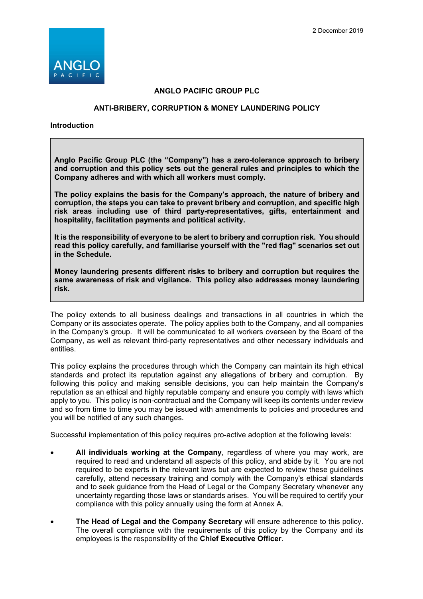

## **ANGLO PACIFIC GROUP PLC**

## **ANTI-BRIBERY, CORRUPTION & MONEY LAUNDERING POLICY**

**Introduction**

**Anglo Pacific Group PLC (the "Company") has a zero-tolerance approach to bribery and corruption and this policy sets out the general rules and principles to which the Company adheres and with which all workers must comply.** 

**The policy explains the basis for the Company's approach, the nature of bribery and corruption, the steps you can take to prevent bribery and corruption, and specific high risk areas including use of third party-representatives, gifts, entertainment and hospitality, facilitation payments and political activity.**

**It is the responsibility of everyone to be alert to bribery and corruption risk. You should read this policy carefully, and familiarise yourself with the "red flag" scenarios set out in the Schedule.**

**Money laundering presents different risks to bribery and corruption but requires the same awareness of risk and vigilance. This policy also addresses money laundering risk.** 

The policy extends to all business dealings and transactions in all countries in which the Company or its associates operate. The policy applies both to the Company, and all companies in the Company's group. It will be communicated to all workers overseen by the Board of the Company, as well as relevant third-party representatives and other necessary individuals and entities.

This policy explains the procedures through which the Company can maintain its high ethical standards and protect its reputation against any allegations of bribery and corruption. By following this policy and making sensible decisions, you can help maintain the Company's reputation as an ethical and highly reputable company and ensure you comply with laws which apply to you. This policy is non-contractual and the Company will keep its contents under review and so from time to time you may be issued with amendments to policies and procedures and you will be notified of any such changes.

Successful implementation of this policy requires pro-active adoption at the following levels:

- **All individuals working at the Company**, regardless of where you may work, are required to read and understand all aspects of this policy, and abide by it. You are not required to be experts in the relevant laws but are expected to review these guidelines carefully, attend necessary training and comply with the Company's ethical standards and to seek guidance from the Head of Legal or the Company Secretary whenever any uncertainty regarding those laws or standards arises. You will be required to certify your compliance with this policy annually using the form at Annex A.
- **The Head of Legal and the Company Secretary** will ensure adherence to this policy. The overall compliance with the requirements of this policy by the Company and its employees is the responsibility of the **Chief Executive Officer**.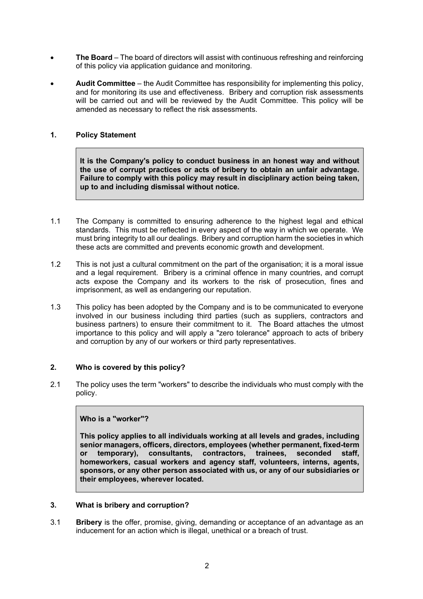- **The Board** The board of directors will assist with continuous refreshing and reinforcing of this policy via application guidance and monitoring.
- **Audit Committee** the Audit Committee has responsibility for implementing this policy, and for monitoring its use and effectiveness. Bribery and corruption risk assessments will be carried out and will be reviewed by the Audit Committee. This policy will be amended as necessary to reflect the risk assessments.

## **1. Policy Statement**

**It is the Company's policy to conduct business in an honest way and without the use of corrupt practices or acts of bribery to obtain an unfair advantage. Failure to comply with this policy may result in disciplinary action being taken, up to and including dismissal without notice.**

- 1.1 The Company is committed to ensuring adherence to the highest legal and ethical standards. This must be reflected in every aspect of the way in which we operate. We must bring integrity to all our dealings. Bribery and corruption harm the societies in which these acts are committed and prevents economic growth and development.
- 1.2 This is not just a cultural commitment on the part of the organisation; it is a moral issue and a legal requirement. Bribery is a criminal offence in many countries, and corrupt acts expose the Company and its workers to the risk of prosecution, fines and imprisonment, as well as endangering our reputation.
- 1.3 This policy has been adopted by the Company and is to be communicated to everyone involved in our business including third parties (such as suppliers, contractors and business partners) to ensure their commitment to it. The Board attaches the utmost importance to this policy and will apply a "zero tolerance" approach to acts of bribery and corruption by any of our workers or third party representatives.

## **2. Who is covered by this policy?**

2.1 The policy uses the term "workers" to describe the individuals who must comply with the policy.

## **Who is a "worker"?**

**This policy applies to all individuals working at all levels and grades, including senior managers, officers, directors, employees (whether permanent, fixed-term or temporary), consultants, contractors, trainees, seconded staff, homeworkers, casual workers and agency staff, volunteers, interns, agents, sponsors, or any other person associated with us, or any of our subsidiaries or their employees, wherever located.**

## **3. What is bribery and corruption?**

3.1 **Bribery** is the offer, promise, giving, demanding or acceptance of an advantage as an inducement for an action which is illegal, unethical or a breach of trust.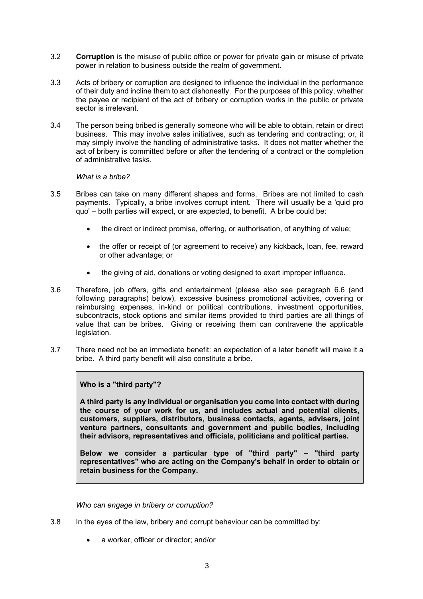- 3.2 **Corruption** is the misuse of public office or power for private gain or misuse of private power in relation to business outside the realm of government.
- 3.3 Acts of bribery or corruption are designed to influence the individual in the performance of their duty and incline them to act dishonestly. For the purposes of this policy, whether the payee or recipient of the act of bribery or corruption works in the public or private sector is irrelevant.
- 3.4 The person being bribed is generally someone who will be able to obtain, retain or direct business. This may involve sales initiatives, such as tendering and contracting; or, it may simply involve the handling of administrative tasks. It does not matter whether the act of bribery is committed before or after the tendering of a contract or the completion of administrative tasks.

## *What is a bribe?*

- 3.5 Bribes can take on many different shapes and forms. Bribes are not limited to cash payments. Typically, a bribe involves corrupt intent. There will usually be a 'quid pro quo' – both parties will expect, or are expected, to benefit. A bribe could be:
	- the direct or indirect promise, offering, or authorisation, of anything of value;
	- the offer or receipt of (or agreement to receive) any kickback, loan, fee, reward or other advantage; or
	- the giving of aid, donations or voting designed to exert improper influence.
- 3.6 Therefore, job offers, gifts and entertainment (please also see paragraph 6.6 (and following paragraphs) below), excessive business promotional activities, covering or reimbursing expenses, in-kind or political contributions, investment opportunities, subcontracts, stock options and similar items provided to third parties are all things of value that can be bribes. Giving or receiving them can contravene the applicable legislation.
- 3.7 There need not be an immediate benefit: an expectation of a later benefit will make it a bribe. A third party benefit will also constitute a bribe.

## **Who is a "third party"?**

**A third party is any individual or organisation you come into contact with during the course of your work for us, and includes actual and potential clients, customers, suppliers, distributors, business contacts, agents, advisers, joint venture partners, consultants and government and public bodies, including their advisors, representatives and officials, politicians and political parties.**

**Below we consider a particular type of "third party" – "third party representatives" who are acting on the Company's behalf in order to obtain or retain business for the Company.**

*Who can engage in bribery or corruption?*

- 3.8 In the eyes of the law, bribery and corrupt behaviour can be committed by:
	- a worker, officer or director; and/or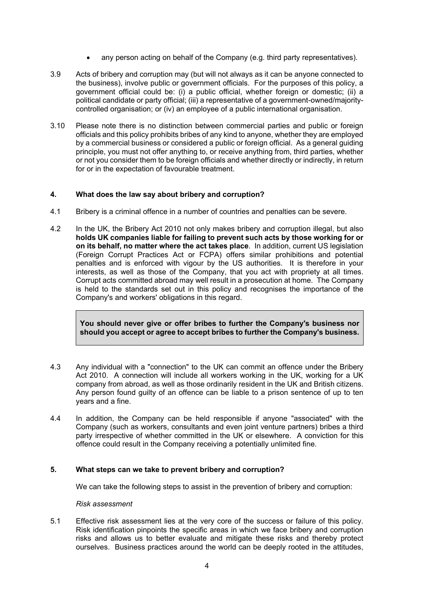- any person acting on behalf of the Company (e.g. third party representatives).
- 3.9 Acts of bribery and corruption may (but will not always as it can be anyone connected to the business), involve public or government officials. For the purposes of this policy, a government official could be: (i) a public official, whether foreign or domestic; (ii) a political candidate or party official; (iii) a representative of a government-owned/majoritycontrolled organisation; or (iv) an employee of a public international organisation.
- 3.10 Please note there is no distinction between commercial parties and public or foreign officials and this policy prohibits bribes of any kind to anyone, whether they are employed by a commercial business or considered a public or foreign official. As a general guiding principle, you must not offer anything to, or receive anything from, third parties, whether or not you consider them to be foreign officials and whether directly or indirectly, in return for or in the expectation of favourable treatment.

## **4. What does the law say about bribery and corruption?**

- 4.1 Bribery is a criminal offence in a number of countries and penalties can be severe.
- 4.2 In the UK, the Bribery Act 2010 not only makes bribery and corruption illegal, but also **holds UK companies liable for failing to prevent such acts by those working for or on its behalf, no matter where the act takes place**. In addition, current US legislation (Foreign Corrupt Practices Act or FCPA) offers similar prohibitions and potential penalties and is enforced with vigour by the US authorities. It is therefore in your interests, as well as those of the Company, that you act with propriety at all times. Corrupt acts committed abroad may well result in a prosecution at home. The Company is held to the standards set out in this policy and recognises the importance of the Company's and workers' obligations in this regard.

**You should never give or offer bribes to further the Company's business nor should you accept or agree to accept bribes to further the Company's business.**

- 4.3 Any individual with a "connection" to the UK can commit an offence under the Bribery Act 2010. A connection will include all workers working in the UK, working for a UK company from abroad, as well as those ordinarily resident in the UK and British citizens. Any person found guilty of an offence can be liable to a prison sentence of up to ten years and a fine.
- 4.4 In addition, the Company can be held responsible if anyone "associated" with the Company (such as workers, consultants and even joint venture partners) bribes a third party irrespective of whether committed in the UK or elsewhere. A conviction for this offence could result in the Company receiving a potentially unlimited fine.

## **5. What steps can we take to prevent bribery and corruption?**

We can take the following steps to assist in the prevention of bribery and corruption:

#### *Risk assessment*

5.1 Effective risk assessment lies at the very core of the success or failure of this policy. Risk identification pinpoints the specific areas in which we face bribery and corruption risks and allows us to better evaluate and mitigate these risks and thereby protect ourselves. Business practices around the world can be deeply rooted in the attitudes,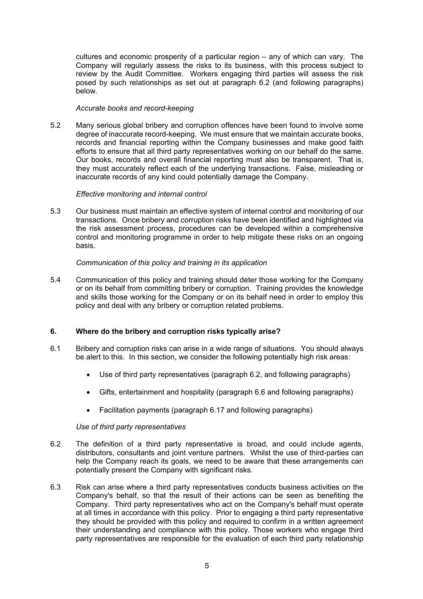cultures and economic prosperity of a particular region – any of which can vary. The Company will regularly assess the risks to its business, with this process subject to review by the Audit Committee. Workers engaging third parties will assess the risk posed by such relationships as set out at paragraph 6.2 (and following paragraphs) **below** 

## *Accurate books and record-keeping*

5.2 Many serious global bribery and corruption offences have been found to involve some degree of inaccurate record-keeping. We must ensure that we maintain accurate books, records and financial reporting within the Company businesses and make good faith efforts to ensure that all third party representatives working on our behalf do the same. Our books, records and overall financial reporting must also be transparent. That is, they must accurately reflect each of the underlying transactions. False, misleading or inaccurate records of any kind could potentially damage the Company.

#### *Effective monitoring and internal control*

5.3 Our business must maintain an effective system of internal control and monitoring of our transactions. Once bribery and corruption risks have been identified and highlighted via the risk assessment process, procedures can be developed within a comprehensive control and monitoring programme in order to help mitigate these risks on an ongoing basis.

#### *Communication of this policy and training in its application*

5.4 Communication of this policy and training should deter those working for the Company or on its behalf from committing bribery or corruption. Training provides the knowledge and skills those working for the Company or on its behalf need in order to employ this policy and deal with any bribery or corruption related problems.

## **6. Where do the bribery and corruption risks typically arise?**

- 6.1 Bribery and corruption risks can arise in a wide range of situations. You should always be alert to this. In this section, we consider the following potentially high risk areas:
	- Use of third party representatives (paragraph 6.2, and following paragraphs)
	- Gifts, entertainment and hospitality (paragraph 6.6 and following paragraphs)
	- Facilitation payments (paragraph 6.17 and following paragraphs)

#### *Use of third party representatives*

- 6.2 The definition of a third party representative is broad, and could include agents, distributors, consultants and joint venture partners. Whilst the use of third-parties can help the Company reach its goals, we need to be aware that these arrangements can potentially present the Company with significant risks.
- 6.3 Risk can arise where a third party representatives conducts business activities on the Company's behalf, so that the result of their actions can be seen as benefiting the Company. Third party representatives who act on the Company's behalf must operate at all times in accordance with this policy. Prior to engaging a third party representative they should be provided with this policy and required to confirm in a written agreement their understanding and compliance with this policy. Those workers who engage third party representatives are responsible for the evaluation of each third party relationship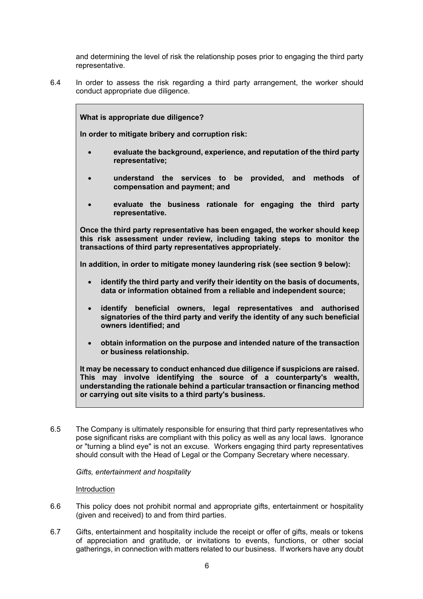and determining the level of risk the relationship poses prior to engaging the third party representative.

6.4 In order to assess the risk regarding a third party arrangement, the worker should conduct appropriate due diligence.

**What is appropriate due diligence? In order to mitigate bribery and corruption risk:** • **evaluate the background, experience, and reputation of the third party representative;** • **understand the services to be provided, and methods of compensation and payment; and** • **evaluate the business rationale for engaging the third party representative. Once the third party representative has been engaged, the worker should keep this risk assessment under review, including taking steps to monitor the transactions of third party representatives appropriately. In addition, in order to mitigate money laundering risk (see section 9 below):** • **identify the third party and verify their identity on the basis of documents, data or information obtained from a reliable and independent source;** • **identify beneficial owners, legal representatives and authorised signatories of the third party and verify the identity of any such beneficial owners identified; and** • **obtain information on the purpose and intended nature of the transaction or business relationship. It may be necessary to conduct enhanced due diligence if suspicions are raised. This may involve identifying the source of a counterparty's wealth, understanding the rationale behind a particular transaction or financing method** 

6.5 The Company is ultimately responsible for ensuring that third party representatives who pose significant risks are compliant with this policy as well as any local laws. Ignorance or "turning a blind eye" is not an excuse. Workers engaging third party representatives should consult with the Head of Legal or the Company Secretary where necessary.

**or carrying out site visits to a third party's business.**

*Gifts, entertainment and hospitality*

## Introduction

- 6.6 This policy does not prohibit normal and appropriate gifts, entertainment or hospitality (given and received) to and from third parties.
- 6.7 Gifts, entertainment and hospitality include the receipt or offer of gifts, meals or tokens of appreciation and gratitude, or invitations to events, functions, or other social gatherings, in connection with matters related to our business. If workers have any doubt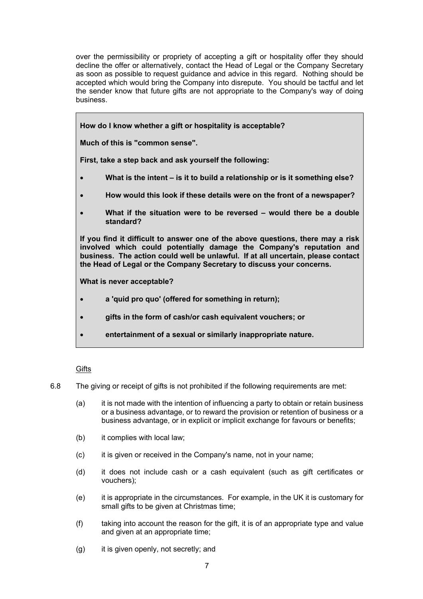over the permissibility or propriety of accepting a gift or hospitality offer they should decline the offer or alternatively, contact the Head of Legal or the Company Secretary as soon as possible to request guidance and advice in this regard. Nothing should be accepted which would bring the Company into disrepute. You should be tactful and let the sender know that future gifts are not appropriate to the Company's way of doing business.

**How do I know whether a gift or hospitality is acceptable?**

**Much of this is "common sense".**

**First, take a step back and ask yourself the following:**

- **What is the intent – is it to build a relationship or is it something else?**
- **How would this look if these details were on the front of a newspaper?**
- **What if the situation were to be reversed – would there be a double standard?**

**If you find it difficult to answer one of the above questions, there may a risk involved which could potentially damage the Company's reputation and business. The action could well be unlawful. If at all uncertain, please contact the Head of Legal or the Company Secretary to discuss your concerns.**

**What is never acceptable?**

- **a 'quid pro quo' (offered for something in return);**
- **gifts in the form of cash/or cash equivalent vouchers; or**
- **entertainment of a sexual or similarly inappropriate nature.**

## **Gifts**

- 6.8 The giving or receipt of gifts is not prohibited if the following requirements are met:
	- (a) it is not made with the intention of influencing a party to obtain or retain business or a business advantage, or to reward the provision or retention of business or a business advantage, or in explicit or implicit exchange for favours or benefits;
	- (b) it complies with local law;
	- (c) it is given or received in the Company's name, not in your name;
	- (d) it does not include cash or a cash equivalent (such as gift certificates or vouchers);
	- (e) it is appropriate in the circumstances. For example, in the UK it is customary for small gifts to be given at Christmas time;
	- (f) taking into account the reason for the gift, it is of an appropriate type and value and given at an appropriate time;
	- (g) it is given openly, not secretly; and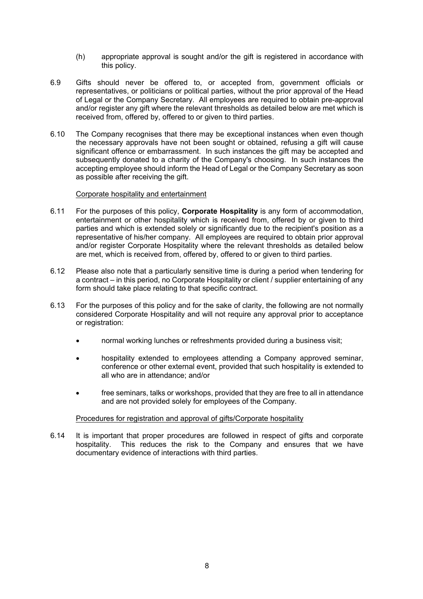- (h) appropriate approval is sought and/or the gift is registered in accordance with this policy.
- 6.9 Gifts should never be offered to, or accepted from, government officials or representatives, or politicians or political parties, without the prior approval of the Head of Legal or the Company Secretary. All employees are required to obtain pre-approval and/or register any gift where the relevant thresholds as detailed below are met which is received from, offered by, offered to or given to third parties.
- 6.10 The Company recognises that there may be exceptional instances when even though the necessary approvals have not been sought or obtained, refusing a gift will cause significant offence or embarrassment. In such instances the gift may be accepted and subsequently donated to a charity of the Company's choosing. In such instances the accepting employee should inform the Head of Legal or the Company Secretary as soon as possible after receiving the gift.

#### Corporate hospitality and entertainment

- 6.11 For the purposes of this policy, **Corporate Hospitality** is any form of accommodation, entertainment or other hospitality which is received from, offered by or given to third parties and which is extended solely or significantly due to the recipient's position as a representative of his/her company. All employees are required to obtain prior approval and/or register Corporate Hospitality where the relevant thresholds as detailed below are met, which is received from, offered by, offered to or given to third parties.
- 6.12 Please also note that a particularly sensitive time is during a period when tendering for a contract – in this period, no Corporate Hospitality or client / supplier entertaining of any form should take place relating to that specific contract.
- 6.13 For the purposes of this policy and for the sake of clarity, the following are not normally considered Corporate Hospitality and will not require any approval prior to acceptance or registration:
	- normal working lunches or refreshments provided during a business visit;
	- hospitality extended to employees attending a Company approved seminar, conference or other external event, provided that such hospitality is extended to all who are in attendance; and/or
	- free seminars, talks or workshops, provided that they are free to all in attendance and are not provided solely for employees of the Company.

#### Procedures for registration and approval of gifts/Corporate hospitality

6.14 It is important that proper procedures are followed in respect of gifts and corporate hospitality. This reduces the risk to the Company and ensures that we have documentary evidence of interactions with third parties.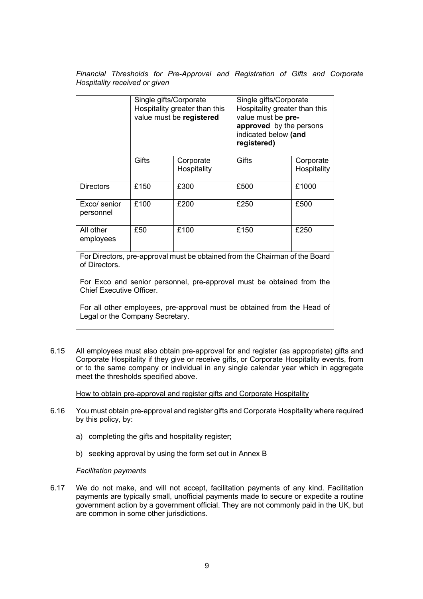*Financial Thresholds for Pre-Approval and Registration of Gifts and Corporate Hospitality received or given*

|                           | Single gifts/Corporate<br>Hospitality greater than this<br>value must be registered |                          | Single gifts/Corporate<br>Hospitality greater than this<br>value must be pre-<br>approved by the persons<br>indicated below (and<br>registered) |                          |
|---------------------------|-------------------------------------------------------------------------------------|--------------------------|-------------------------------------------------------------------------------------------------------------------------------------------------|--------------------------|
|                           | Gifts                                                                               | Corporate<br>Hospitality | <b>Gifts</b>                                                                                                                                    | Corporate<br>Hospitality |
| <b>Directors</b>          | £150                                                                                | £300                     | £500                                                                                                                                            | £1000                    |
| Exco/ senior<br>personnel | £100                                                                                | £200                     | £250                                                                                                                                            | £500                     |
| All other<br>employees    | £50                                                                                 | £100                     | £150                                                                                                                                            | £250                     |

For Directors, pre-approval must be obtained from the Chairman of the Board of Directors.

For Exco and senior personnel, pre-approval must be obtained from the Chief Executive Officer.

For all other employees, pre-approval must be obtained from the Head of Legal or the Company Secretary.

6.15 All employees must also obtain pre-approval for and register (as appropriate) gifts and Corporate Hospitality if they give or receive gifts, or Corporate Hospitality events, from or to the same company or individual in any single calendar year which in aggregate meet the thresholds specified above.

How to obtain pre-approval and register gifts and Corporate Hospitality

- 6.16 You must obtain pre-approval and register gifts and Corporate Hospitality where required by this policy, by:
	- a) completing the gifts and hospitality register:
	- b) seeking approval by using the form set out in Annex B

#### *Facilitation payments*

6.17 We do not make, and will not accept, facilitation payments of any kind. Facilitation payments are typically small, unofficial payments made to secure or expedite a routine government action by a government official. They are not commonly paid in the UK, but are common in some other jurisdictions.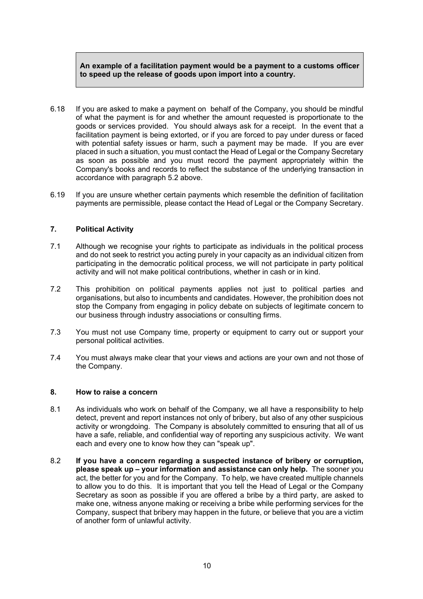## **An example of a facilitation payment would be a payment to a customs officer to speed up the release of goods upon import into a country.**

- 6.18 If you are asked to make a payment on behalf of the Company, you should be mindful of what the payment is for and whether the amount requested is proportionate to the goods or services provided. You should always ask for a receipt. In the event that a facilitation payment is being extorted, or if you are forced to pay under duress or faced with potential safety issues or harm, such a payment may be made. If you are ever placed in such a situation, you must contact the Head of Legal or the Company Secretary as soon as possible and you must record the payment appropriately within the Company's books and records to reflect the substance of the underlying transaction in accordance with paragraph 5.2 above.
- 6.19 If you are unsure whether certain payments which resemble the definition of facilitation payments are permissible, please contact the Head of Legal or the Company Secretary.

## **7. Political Activity**

- 7.1 Although we recognise your rights to participate as individuals in the political process and do not seek to restrict you acting purely in your capacity as an individual citizen from participating in the democratic political process, we will not participate in party political activity and will not make political contributions, whether in cash or in kind.
- 7.2 This prohibition on political payments applies not just to political parties and organisations, but also to incumbents and candidates. However, the prohibition does not stop the Company from engaging in policy debate on subjects of legitimate concern to our business through industry associations or consulting firms.
- 7.3 You must not use Company time, property or equipment to carry out or support your personal political activities.
- 7.4 You must always make clear that your views and actions are your own and not those of the Company.

## **8. How to raise a concern**

- 8.1 As individuals who work on behalf of the Company, we all have a responsibility to help detect, prevent and report instances not only of bribery, but also of any other suspicious activity or wrongdoing. The Company is absolutely committed to ensuring that all of us have a safe, reliable, and confidential way of reporting any suspicious activity. We want each and every one to know how they can "speak up".
- 8.2 **If you have a concern regarding a suspected instance of bribery or corruption, please speak up – your information and assistance can only help.** The sooner you act, the better for you and for the Company. To help, we have created multiple channels to allow you to do this. It is important that you tell the Head of Legal or the Company Secretary as soon as possible if you are offered a bribe by a third party, are asked to make one, witness anyone making or receiving a bribe while performing services for the Company, suspect that bribery may happen in the future, or believe that you are a victim of another form of unlawful activity.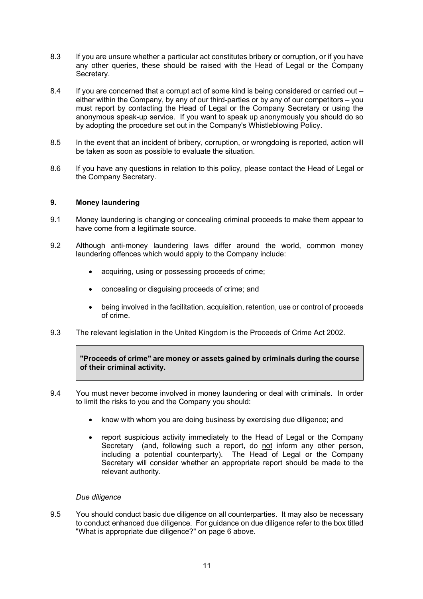- 8.3 If you are unsure whether a particular act constitutes bribery or corruption, or if you have any other queries, these should be raised with the Head of Legal or the Company Secretary.
- 8.4 If you are concerned that a corrupt act of some kind is being considered or carried out either within the Company, by any of our third-parties or by any of our competitors – you must report by contacting the Head of Legal or the Company Secretary or using the anonymous speak-up service. If you want to speak up anonymously you should do so by adopting the procedure set out in the Company's Whistleblowing Policy.
- 8.5 In the event that an incident of bribery, corruption, or wrongdoing is reported, action will be taken as soon as possible to evaluate the situation.
- 8.6 If you have any questions in relation to this policy, please contact the Head of Legal or the Company Secretary.

## **9. Money laundering**

- 9.1 Money laundering is changing or concealing criminal proceeds to make them appear to have come from a legitimate source.
- 9.2 Although anti-money laundering laws differ around the world, common money laundering offences which would apply to the Company include:
	- acquiring, using or possessing proceeds of crime;
	- concealing or disguising proceeds of crime; and
	- being involved in the facilitation, acquisition, retention, use or control of proceeds of crime.
- 9.3 The relevant legislation in the United Kingdom is the Proceeds of Crime Act 2002.

**"Proceeds of crime" are money or assets gained by criminals during the course of their criminal activity.** 

- 9.4 You must never become involved in money laundering or deal with criminals. In order to limit the risks to you and the Company you should:
	- know with whom you are doing business by exercising due diligence; and
	- report suspicious activity immediately to the Head of Legal or the Company Secretary (and, following such a report, do not inform any other person, including a potential counterparty). The Head of Legal or the Company Secretary will consider whether an appropriate report should be made to the relevant authority.

## *Due diligence*

9.5 You should conduct basic due diligence on all counterparties. It may also be necessary to conduct enhanced due diligence. For guidance on due diligence refer to the box titled "What is appropriate due diligence?" on page 6 above.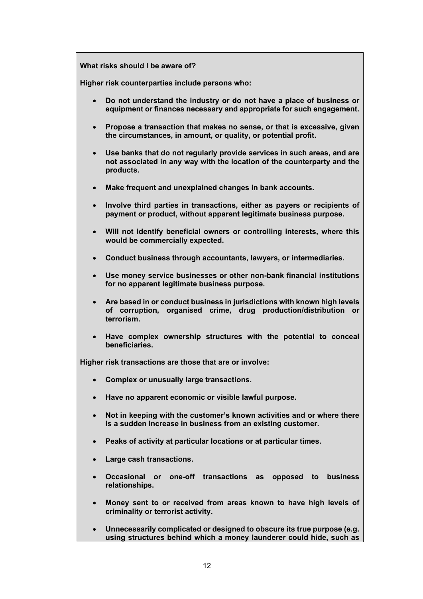**What risks should I be aware of?**

**Higher risk counterparties include persons who:** 

- **Do not understand the industry or do not have a place of business or equipment or finances necessary and appropriate for such engagement.**
- **Propose a transaction that makes no sense, or that is excessive, given the circumstances, in amount, or quality, or potential profit.**
- **Use banks that do not regularly provide services in such areas, and are not associated in any way with the location of the counterparty and the products.**
- **Make frequent and unexplained changes in bank accounts.**
- **Involve third parties in transactions, either as payers or recipients of payment or product, without apparent legitimate business purpose.**
- **Will not identify beneficial owners or controlling interests, where this would be commercially expected.**
- **Conduct business through accountants, lawyers, or intermediaries.**
- **Use money service businesses or other non-bank financial institutions for no apparent legitimate business purpose.**
- **Are based in or conduct business in jurisdictions with known high levels of corruption, organised crime, drug production/distribution or terrorism.**
- **Have complex ownership structures with the potential to conceal beneficiaries.**

**Higher risk transactions are those that are or involve:**

- **Complex or unusually large transactions.**
- **Have no apparent economic or visible lawful purpose.**
- **Not in keeping with the customer's known activities and or where there is a sudden increase in business from an existing customer.**
- **Peaks of activity at particular locations or at particular times.**
- **Large cash transactions.**
- **Occasional or one-off transactions as opposed to business relationships.**
- **Money sent to or received from areas known to have high levels of criminality or terrorist activity.**
- **Unnecessarily complicated or designed to obscure its true purpose (e.g. using structures behind which a money launderer could hide, such as**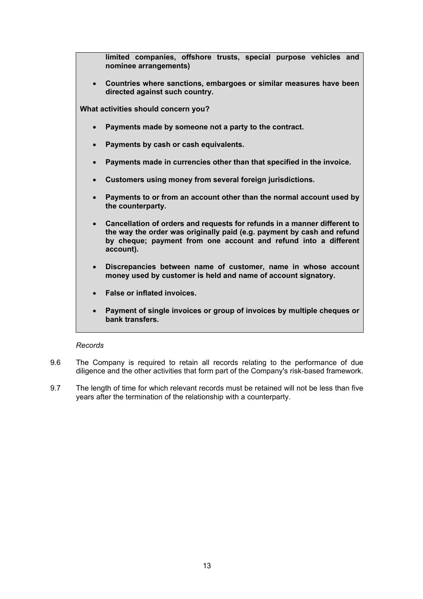| limited companies, offshore trusts, special purpose vehicles and<br>nominee arrangements)                                                                                                                                                       |
|-------------------------------------------------------------------------------------------------------------------------------------------------------------------------------------------------------------------------------------------------|
| Countries where sanctions, embargoes or similar measures have been<br>$\bullet$<br>directed against such country.                                                                                                                               |
| What activities should concern you?                                                                                                                                                                                                             |
| Payments made by someone not a party to the contract.<br>$\bullet$                                                                                                                                                                              |
| Payments by cash or cash equivalents.<br>$\bullet$                                                                                                                                                                                              |
| Payments made in currencies other than that specified in the invoice.<br>$\bullet$                                                                                                                                                              |
| Customers using money from several foreign jurisdictions.<br>$\bullet$                                                                                                                                                                          |
| Payments to or from an account other than the normal account used by<br>$\bullet$<br>the counterparty.                                                                                                                                          |
| Cancellation of orders and requests for refunds in a manner different to<br>$\bullet$<br>the way the order was originally paid (e.g. payment by cash and refund<br>by cheque; payment from one account and refund into a different<br>account). |
| Discrepancies between name of customer, name in whose account<br>$\bullet$<br>money used by customer is held and name of account signatory.                                                                                                     |
| <b>False or inflated invoices.</b><br>$\bullet$                                                                                                                                                                                                 |
| Payment of single invoices or group of invoices by multiple cheques or<br>$\bullet$<br>bank transfers.                                                                                                                                          |

## *Records*

- 9.6 The Company is required to retain all records relating to the performance of due diligence and the other activities that form part of the Company's risk-based framework.
- 9.7 The length of time for which relevant records must be retained will not be less than five years after the termination of the relationship with a counterparty.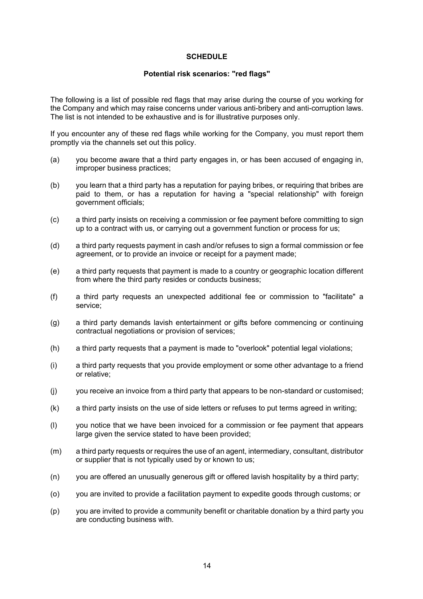#### **SCHEDULE**

#### **Potential risk scenarios: "red flags"**

The following is a list of possible red flags that may arise during the course of you working for the Company and which may raise concerns under various anti-bribery and anti-corruption laws. The list is not intended to be exhaustive and is for illustrative purposes only.

If you encounter any of these red flags while working for the Company, you must report them promptly via the channels set out this policy.

- (a) you become aware that a third party engages in, or has been accused of engaging in, improper business practices;
- (b) you learn that a third party has a reputation for paying bribes, or requiring that bribes are paid to them, or has a reputation for having a "special relationship" with foreign government officials;
- (c) a third party insists on receiving a commission or fee payment before committing to sign up to a contract with us, or carrying out a government function or process for us;
- (d) a third party requests payment in cash and/or refuses to sign a formal commission or fee agreement, or to provide an invoice or receipt for a payment made;
- (e) a third party requests that payment is made to a country or geographic location different from where the third party resides or conducts business;
- (f) a third party requests an unexpected additional fee or commission to "facilitate" a service;
- (g) a third party demands lavish entertainment or gifts before commencing or continuing contractual negotiations or provision of services;
- (h) a third party requests that a payment is made to "overlook" potential legal violations;
- (i) a third party requests that you provide employment or some other advantage to a friend or relative;
- (j) you receive an invoice from a third party that appears to be non-standard or customised;
- (k) a third party insists on the use of side letters or refuses to put terms agreed in writing;
- (l) you notice that we have been invoiced for a commission or fee payment that appears large given the service stated to have been provided;
- (m) a third party requests or requires the use of an agent, intermediary, consultant, distributor or supplier that is not typically used by or known to us;
- (n) you are offered an unusually generous gift or offered lavish hospitality by a third party;
- (o) you are invited to provide a facilitation payment to expedite goods through customs; or
- (p) you are invited to provide a community benefit or charitable donation by a third party you are conducting business with.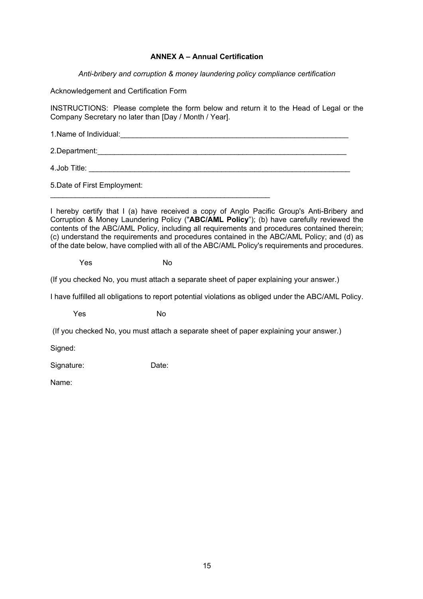## **ANNEX A – Annual Certification**

*Anti-bribery and corruption & money laundering policy compliance certification*

Acknowledgement and Certification Form

INSTRUCTIONS: Please complete the form below and return it to the Head of Legal or the Company Secretary no later than [Day / Month / Year].

1.Name of Individual:  $\blacksquare$ 

2.Department:

4.Job Title:

\_\_\_\_\_\_\_\_\_\_\_\_\_\_\_\_\_\_\_\_\_\_\_\_\_\_\_\_\_\_\_\_\_\_\_\_\_\_\_\_\_\_\_\_\_\_\_\_\_\_\_\_\_

5.Date of First Employment:

I hereby certify that I (a) have received a copy of Anglo Pacific Group's Anti-Bribery and Corruption & Money Laundering Policy ("**ABC/AML Policy**"); (b) have carefully reviewed the contents of the ABC/AML Policy, including all requirements and procedures contained therein; (c) understand the requirements and procedures contained in the ABC/AML Policy; and (d) as of the date below, have complied with all of the ABC/AML Policy's requirements and procedures.

Yes No

(If you checked No, you must attach a separate sheet of paper explaining your answer.)

I have fulfilled all obligations to report potential violations as obliged under the ABC/AML Policy.

Yes No

(If you checked No, you must attach a separate sheet of paper explaining your answer.)

Signed:

Signature: Date:

Name: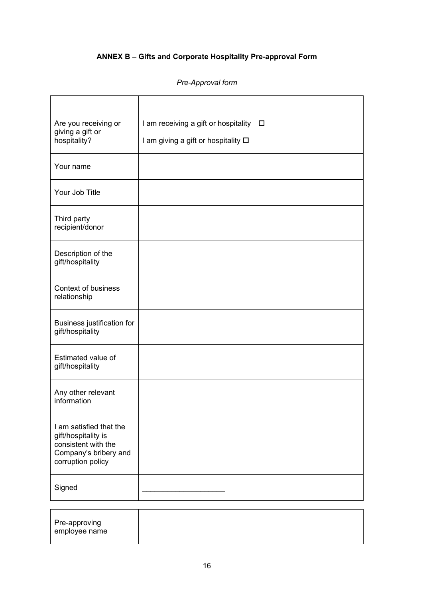# **ANNEX B – Gifts and Corporate Hospitality Pre-approval Form**

## *Pre-Approval form*

| Are you receiving or<br>giving a gift or<br>hospitality?                                                            | I am receiving a gift or hospitality □<br>I am giving a gift or hospitality □ |
|---------------------------------------------------------------------------------------------------------------------|-------------------------------------------------------------------------------|
| Your name                                                                                                           |                                                                               |
| Your Job Title                                                                                                      |                                                                               |
| Third party<br>recipient/donor                                                                                      |                                                                               |
| Description of the<br>gift/hospitality                                                                              |                                                                               |
| <b>Context of business</b><br>relationship                                                                          |                                                                               |
| Business justification for<br>gift/hospitality                                                                      |                                                                               |
| Estimated value of<br>gift/hospitality                                                                              |                                                                               |
| Any other relevant<br>information                                                                                   |                                                                               |
| I am satisfied that the<br>gift/hospitality is<br>consistent with the<br>Company's bribery and<br>corruption policy |                                                                               |
| Signed                                                                                                              |                                                                               |

| Pre-approving |  |  |
|---------------|--|--|
|               |  |  |
| employee name |  |  |
|               |  |  |
|               |  |  |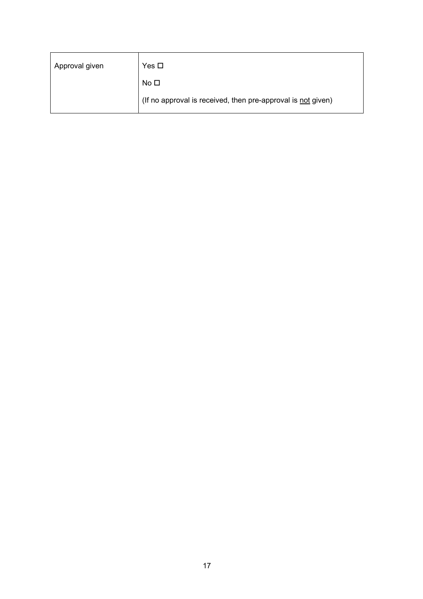| Approval given | Yes □                                                        |
|----------------|--------------------------------------------------------------|
|                | No $\square$                                                 |
|                | (If no approval is received, then pre-approval is not given) |